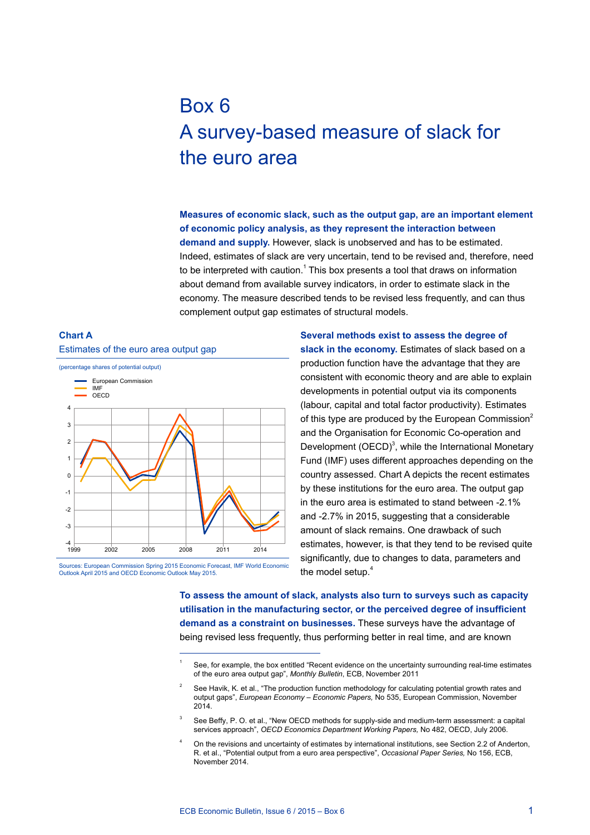# Box 6 A survey-based measure of slack for the euro area

**Measures of economic slack, such as the output gap, are an important element of economic policy analysis, as they represent the interaction between demand and supply.** However, slack is unobserved and has to be estimated. Indeed, estimates of slack are very uncertain, tend to be revised and, therefore, need to be interpreted with caution.<sup>1</sup> This box presents a tool that draws on information about demand from available survey indicators, in order to estimate slack in the economy. The measure described tends to be revised less frequently, and can thus complement output gap estimates of structural models.

#### **Chart A**





Sources: European Commission Spring 2015 Economic Forecast, IMF World Economic<br>Outlook April 2015 and OECD Economic Outlook May 2015 Outlook April 2015 and OECD Economic

**Several methods exist to assess the degree of slack in the economy.** Estimates of slack based on a production function have the advantage that they are consistent with economic theory and are able to explain developments in potential output via its components (labour, capital and total factor productivity). Estimates of this type are produced by the European Commission $2$ and the Organisation for Economic Co-operation and Development  $(OECD)^3$ , while the International Monetary Fund (IMF) uses different approaches depending on the country assessed. Chart A depicts the recent estimates by these institutions for the euro area. The output gap in the euro area is estimated to stand between -2.1% and -2.7% in 2015, suggesting that a considerable amount of slack remains. One drawback of such estimates, however, is that they tend to be revised quite significantly, due to changes to data, parameters and the model setup.<sup>4</sup>

**To assess the amount of slack, analysts also turn to surveys such as capacity utilisation in the manufacturing sector, or the perceived degree of insufficient demand as a constraint on businesses.** These surveys have the advantage of being revised less frequently, thus performing better in real time, and are known

See, for example, the box entitled "Recent evidence on the uncertainty surrounding real-time estimates of the euro area output gap", *Monthly Bulletin*, ECB, November 2011

See Havik, K. et al., "The production function methodology for calculating potential growth rates and output gaps", *European Economy – Economic Papers,* No 535, European Commission, November 2014.

See Beffy, P. O. et al., "New OECD methods for supply-side and medium-term assessment: a capital services approach", *OECD Economics Department Working Papers,* No 482, OECD, July 2006.

On the revisions and uncertainty of estimates by international institutions, see Section 2.2 of Anderton R. et al., "Potential output from a euro area perspective", *Occasional Paper Series,* No 156, ECB, November 2014.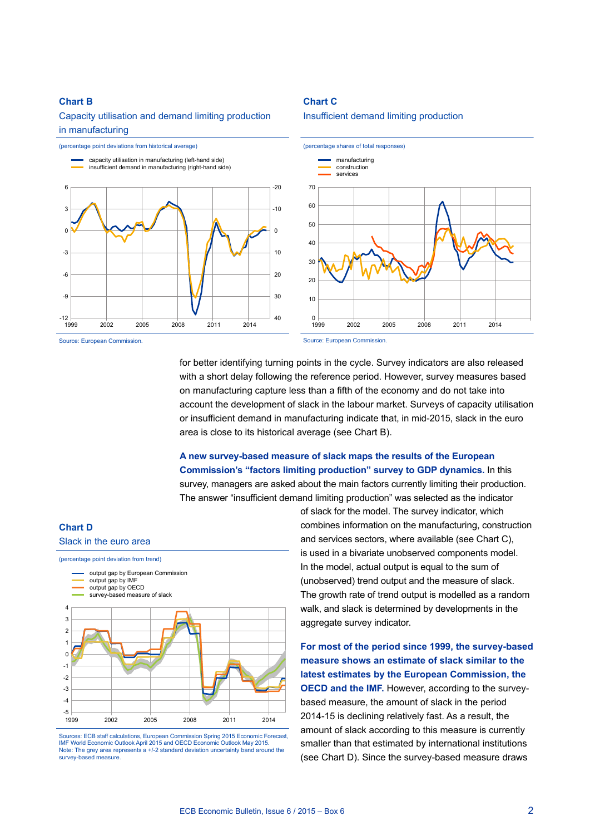#### **Chart B**

### Capacity utilisation and demand limiting production in manufacturing

#### (percentage point deviations from historical average) -20  $-10$ 0 20 10 40 30 —| 12−<br>1999  $-9$ -6 -3  $\overline{0}$ 3 6 capacity utilisation in manufacturing (left-hand side) insufficient demand in manufacturing (right-hand side) 1999 2002 2005 2008 2011 2014 (percentage shares of total responses) 70 60 50 40 30  $20$ 10  $\mathbf 0$ manufacturing construction services 1999 2002 2005 2008 2011 2014

**Chart C**

Insufficient demand limiting production

Source: European Commission.

Source: European Commission.

for better identifying turning points in the cycle. Survey indicators are also released with a short delay following the reference period. However, survey measures based on manufacturing capture less than a fifth of the economy and do not take into account the development of slack in the labour market. Surveys of capacity utilisation or insufficient demand in manufacturing indicate that, in mid-2015, slack in the euro area is close to its historical average (see Chart B).

## **A new survey-based measure of slack maps the results of the European Commission's "factors limiting production" survey to GDP dynamics.** In this survey, managers are asked about the main factors currently limiting their production. The answer "insufficient demand limiting production" was selected as the indicator



Sources: ECB staff calculations, European Commission Spring 2015 Economic Forecast, IMF World Economic Outlook April 2015 and OECD Economic Outlook May 2015. Note: The grey area represents a +/-2 standard deviation uncertainty band around the survey-based measure.

of slack for the model. The survey indicator, which combines information on the manufacturing, construction and services sectors, where available (see Chart C), is used in a bivariate unobserved components model. In the model, actual output is equal to the sum of (unobserved) trend output and the measure of slack. The growth rate of trend output is modelled as a random walk, and slack is determined by developments in the aggregate survey indicator.

**For most of the period since 1999, the survey-based measure shows an estimate of slack similar to the latest estimates by the European Commission, the OECD and the IMF.** However, according to the surveybased measure, the amount of slack in the period 2014-15 is declining relatively fast. As a result, the amount of slack according to this measure is currently smaller than that estimated by international institutions (see Chart D). Since the survey-based measure draws